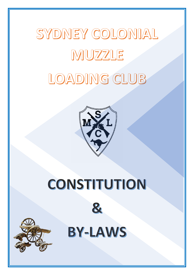# SYDNEY COLONIAL MUZZLE

## LOADING CLUB



## CONSTITUTION





**BY-LAWS**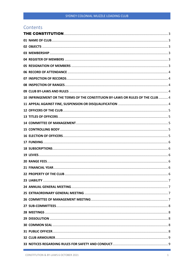#### <span id="page-1-0"></span>Contents

|  | 10 INFRINGEMENT OR THE TERMS OF THE CONSTITUION BY-LAWS OR RULES OF THE CLUB  4 |  |  |
|--|---------------------------------------------------------------------------------|--|--|
|  |                                                                                 |  |  |
|  |                                                                                 |  |  |
|  |                                                                                 |  |  |
|  |                                                                                 |  |  |
|  |                                                                                 |  |  |
|  |                                                                                 |  |  |
|  |                                                                                 |  |  |
|  |                                                                                 |  |  |
|  |                                                                                 |  |  |
|  |                                                                                 |  |  |
|  |                                                                                 |  |  |
|  |                                                                                 |  |  |
|  |                                                                                 |  |  |
|  |                                                                                 |  |  |
|  |                                                                                 |  |  |
|  |                                                                                 |  |  |
|  |                                                                                 |  |  |
|  |                                                                                 |  |  |
|  |                                                                                 |  |  |
|  |                                                                                 |  |  |
|  |                                                                                 |  |  |
|  |                                                                                 |  |  |
|  |                                                                                 |  |  |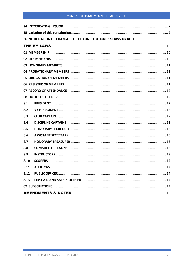#### SYDNEY COLONIAL MUZZLE LOADING CLUB

| 36 NOTIFICATION OF CHANGES TO THE CONSTITUTION, BY-LAWS OR RULES  9 |  |  |  |
|---------------------------------------------------------------------|--|--|--|
|                                                                     |  |  |  |
|                                                                     |  |  |  |
|                                                                     |  |  |  |
|                                                                     |  |  |  |
|                                                                     |  |  |  |
|                                                                     |  |  |  |
|                                                                     |  |  |  |
|                                                                     |  |  |  |
|                                                                     |  |  |  |
| 8.1                                                                 |  |  |  |
| 8.2                                                                 |  |  |  |
| 8.3                                                                 |  |  |  |
| 8.4                                                                 |  |  |  |
| 8.5                                                                 |  |  |  |
| 8.6                                                                 |  |  |  |
| 8.7                                                                 |  |  |  |
| 8.8                                                                 |  |  |  |
| 8.9                                                                 |  |  |  |
| 8.10                                                                |  |  |  |
| 8.11                                                                |  |  |  |
| 8.12                                                                |  |  |  |
| 8.13                                                                |  |  |  |
|                                                                     |  |  |  |
|                                                                     |  |  |  |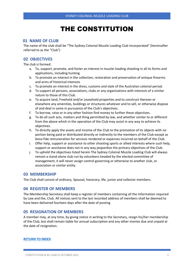### THE CONSTITUTION

#### <span id="page-3-1"></span><span id="page-3-0"></span>**01 NAME OF CLUB**

The name of the club shall be "The Sydney Colonial Muzzle Loading Club Incorporated" (hereinafter referred to as the "Club")

#### <span id="page-3-2"></span>**02 OBJECTIVES**

The club is formed:

- a. To, support, promote, and foster an interest in muzzle-loading shooting in all its forms and applications, including hunting
- b. To promote an interest in the collection, restoration and preservation of antique firearms and arms of historical interests
- c. To promote an interest in the dress, customs and style of the Australian colonial period.
- d. To support all persons, associations, clubs or any organizations with interests of a similar nature to those of this Club.
- e. To acquire land, Freehold and/or Leasehold properties and to construct thereon or elsewhere any amenities, buildings or structures whatever and to sell, or otherwise dispose of and deal in same in pursuance of the Club's objectives.
- f. To borrow, raise or in any other fashion find money to further these objectives.
- g. To do all such acts, matters and thing permitted by law, and whether similar to or different from the above which in the operation of the Club may assist in any way to achieve its objectives.
- h. To directly apply the assets and income of the Club to the promotion of its objects with no portion being paid or distributed directly or indirectly to the members of the Club except as bona fide remuneration for services rendered or expenses incurred on behalf of the Club.
- i. Offer help, support or assistance to other shooting sports or allied interests where such help, support or assistance does not in any way jeopardize the primary objectives of the Club.
- j. To uphold the objectives listed herein The Sydney Colonial Muzzle Loading Club will always remain a stand-alone club run by volunteers headed by the elected committee of management, it will never assign control governing or otherwise to another club, or association or similar entity.

#### <span id="page-3-3"></span>**03 MEMBERSHIP**

<span id="page-3-4"></span>The Club shall consist of ordinary, Spousal, honorary, life, junior and collector members.

#### **04 REGISTER OF MEMBERS**

The Membership Secretary shall keep a register of members containing all the information required by Law and the, Club. All notices sent to the last recorded address of members shall be deemed to have been delivered fourteen days after the date of posting

#### <span id="page-3-5"></span>**05 RESIGNATION OF MEMBERS**

A member may, at any time, by giving notice in writing to the Secretary, resign his/her membership of the Club, but shall remain liable for annual subscription and any other monies due and unpaid at the date of resignation.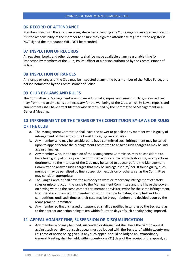#### <span id="page-4-0"></span>**06 RECORD OF ATTENDANCE**

Members must sign the attendance register when attending any Club range for an approved reason. It is the responsibility of the member to ensure they sign the attendance register. If the register is NOT signed the attendance WILL NOT be recorded.

#### <span id="page-4-1"></span>**07 INSPECTION OF RECORDS**

All registers, books and other documents shall be made available at any reasonable time for inspection by members of the Club, Police Officer or a person authorized by the Commissioner of Police.

#### <span id="page-4-2"></span>**08 INSPECTION OF RANGES**

Any range or ranges of the Club may be inspected at any time by a member of the Police Force, or a person nominated by the Commissioner of Police

#### <span id="page-4-3"></span>**09 CLUB BY-LAWS AND RULES**

The Committee of Management is empowered to make, repeal and amend such By- Laws as they may from time to time consider necessary for the wellbeing of the Club, which By-Laws, repeals and amendments shall have effect till otherwise determined by the Committee of Management or a General Meeting.

#### <span id="page-4-4"></span>**10 INFRINGEMENT OR THE TERMS OF THE CONSTITUION BY-LAWS OR RULES OF THE CLUB**

- a. The Management Committee shall have the power to penalise any member who is guilty of infringement of the terms of the Constitution, by-laws or rules.
- b. Any member who may be considered to have committed such infringement may be called upon to appear before the Management Committee to answer such charges as may be laid against him/her.
- c. Any member who, in the opinion of the Management Committee, may be considered to have been guilty of unfair practice or misbehaviour connected with shooting, or any actions detrimental to the interests of the Club may be called to appear before the Management Committee to answer such charges that may be laid against him/ her. If found guilty, such member may be penalised by fine, suspension, expulsion or otherwise, as the Committee may consider appropriate
- d. The Range Captain shall have the authority to warn or report any infringement of safety rules or misconduct on the range to the Management Committee and shall have the power, on having warned the same competitor, member or visitor, twice for the same infringement, to suspend such competitor, member or visitor, from participating in any further Club competitions until such time as their case may be brought before and decided upon by the Management Committee
- e. Any member so fined, charged or suspended shall be notified in writing by the Secretary as to the appropriate action being taken within fourteen days of such penalty being imposed.

#### <span id="page-4-5"></span>**11 APPEAL AGAINST FINE, SUSPENSION OR DISQUALIFICATION**

a. Any member who may be fined, suspended or disqualified shall have the right to appeal against such penalty, but such appeal must be lodged with the Secretary/ within twenty-one (21) days of notice being given. If any such appeal should be lodged an Extraordinary General Meeting shall be held, within twenty-one (21) days of the receipt of the appeal, at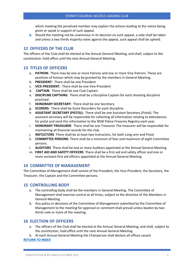which meeting the penalised member may explain the actions leading to the notice being given or speak in support of such appeal.

**b.** Should the meeting not be unanimous in its decision on such appeal, a vote shall be taken and unless a two thirds majority votes against the appeal, such appeal shall be upheld[.](#page-1-0)

#### <span id="page-5-0"></span>**12 OFFICERS OF THE CLUB**

The officers of the Club shall be elected at the Annual General Meeting, and shall, subject to the constitution, hold office until the next Annual General Meeting.

#### <span id="page-5-1"></span>**13 TITLES OF OFFICERS**

- a. **PATRON:** There may be one or more Patrons and one or more Vice-Patrons. These are positions of honour which may be granted by the members in General Meeting.
- b. **PRESIDENT:** There shall be one President
- c. **VICE-PRESIDENT:** There shall be one Vice-President
- d. **CAPTAIN**: There shall be one Club Captain
- e. **DISCIPLINE CAPTAINS:** There shall be a Discipline Captain for each shooting discipline practised
- f. **HONORARY SECRETARY:** There shall be one Secretary
- g. **SCORERS**: There shall be Score Recorders for each discipline.
- h. **ASSISTANT SECRETARY (PISTOL):** There shall be one Assistant Secretary (Pistol). The assistant secretary will be responsible for collecting all information relating to attendances for pistol and send this information to the NSW Police Firearms Registry each year.
- i. **HONORARY TREASURER**: There shall be one Treasurer The treasurer will be responsible for maintaining all financial records for the club.
- j. **INSTUCTORS** There shall be at least two Instructors, for both Long-arm and Pistol
- k. **COMMITTEE PERSONS** There shall be a minimum of four and maximum of eight Committee persons.
- l. **AUDITORS** There shall be one or more Auditors appointed at the Annual General Meeting
- m. **FIRST AID AND SAFETY OFFICERS** There shall be a first-aid and safety officer and one or more assistant first aid officers appointed at the Annual General Meeting

#### <span id="page-5-2"></span>**14 COMMITTEE OF MANAGEMENT**

The Committee of Management shall consist of the President, the Vice-President, the Secretary, the Treasurer, the Captain and the Committee persons.

#### <span id="page-5-3"></span>**15 CONTROLLING BODY**

- a. The controlling body shall be the members in General Meeting. The Committee of Management shall exercise control at all times, subject to the direction of the Members in General Meeting.
- b. Any policy or decisions of the Committee of Management submitted by the Committee of Management to the meeting for approval or comment shall prevail unless beaten by two thirds vote or more of the meeting.

#### <span id="page-5-4"></span>**16 ELECTION OF OFFICERS**

- a. The officers of the Club shall be elected at the Annual General Meeting, and shall, subject to the constitution, hold office until the next Annual General Meeting.
- b. At each Annual General Meeting the Chairperson shall declare all offices vacant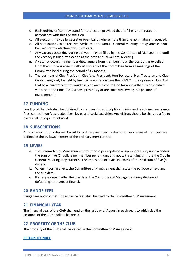- c. Each retiring officer may stand for re-election provided that he/she is nominated in accordance with this Constitution
- d. All elections may be by secret or open ballot where more than one nomination is received.
- e. All nominations to be received verbally at the Annual General Meeting, proxy votes cannot be used for the election of club officers.
- f. Any vacancy occurring during the year may be filled by the Committee of Management until the vacancy is filled by election at the next Annual General Meeting.
- **g.** A vacancy occurs if a member dies, resigns from membership or the position, is expelled from the Club or is absent without consent of the Committee from all meetings of the Committee held during the period of six months.
- **h.** The positions of Club President, Club Vice President, Hon Secretary, Hon Treasurer and Club Captain may only be held by financial members where the SCMLC is their primary club. And that have currently or previously served on the committee for no less than 3 consecutive years or at the time of AGM have previously or are currently serving in a position of management.

#### <span id="page-6-0"></span>**17 FUNDING**

Funding of the Club shall be obtained by membership subscription, joining and re-joining fees, range fees, competition fees, badge fees, levies and social activities. Any visitors should be charged a fee to cover costs of equipment used.

#### <span id="page-6-1"></span>**18 SUBSCRIPTIONS**

Annual subscription rates will be set for ordinary members. Rates for other classes of members are defined in the by-laws in terms of the ordinary-member rate.

#### <span id="page-6-2"></span>**19 LEVIES**

- a. The Committee of Management may impose per capita on all members a levy not exceeding the sum of five (5) dollars per member per annum, and not withstanding this rule the Club in General Meeting may authorise the imposition of levies in excess of the said sum of five (5) dollars.
- b. When imposing a levy, the Committee of Management shall state the purpose of levy and the due date.
- c. If a levy is unpaid after the due date, the Committee of Management may declare all defaulting members unfinancial

#### <span id="page-6-3"></span>**20 RANGE FEES**

<span id="page-6-4"></span>Range fees and competition entrance fees shall be fixed by the Committee of Management.

#### **21 FINANCIAL YEAR**

The financial year of the Club shall end on the last day of August in each year, to which day the accounts of the Club shall be balanced.

#### <span id="page-6-5"></span>**22 PROPERTY OF THE CLUB**

The property of the Club shall be vested in the Committee of Management.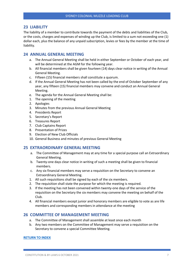#### <span id="page-7-0"></span>**23 LIABILITY**

The liability of a member to contribute towards the payment of the debts and liabilities of the Club, or the costs, charges and expenses of winding up the Club, is limited to a sum not exceeding one (1) dollar each, plus the balance of any unpaid subscription, levies or fees by the member at the time of liability.

#### <span id="page-7-1"></span>**24 ANNUAL GENERAL MEETING**

- a. The Annual General Meeting shall be held in either September or October of each year, and will be determined at the AGM for the following year.
- b. All financial members shall be given fourteen (14) days clear notice in writing of the Annual General Meeting.
- c. Fifteen (15) financial members shall constitute a quorum.
- d. If the Annual General Meeting has not been called by the end of October September of any year, any fifteen (15) financial members may convene and conduct an Annual General Meeting.
- e. The agenda for the Annual General Meeting shall be:
- 1. The opening of the meeting
- 2. Apologies
- 3. Minutes from the previous Annual General Meeting
- 4. Presidents Report
- 5. Secretary's Report
- 6. Treasures Report
- 7. Club Captains Report
- 8. Presentation of Prizes
- 9. Election of New Club Officials
- 10. General Business and minutes of previous General Meeting

#### <span id="page-7-2"></span>**25 EXTRAORDINARY GENERAL MEETING**

- a. The Committee of Management may at any time for a special purpose call an Extraordinary General Meeting.
- b. Twenty-one days clear notice in writing of such a meeting shall be given to financial members.
- c. Any six financial members may serve a requisition on the Secretary to convene an Extraordinary General Meeting.
- 1. All such requisitions shall be signed by each of the six members.
- 2. The requisition shall state the purpose for which the meeting is required.
- 3. If the meeting has not been convened within twenty-one days of the service of the requisition on the Secretary the six members may convene the meeting on behalf of the Club.
- 4. All financial members except junior and honorary members are eligible to vote as are life members and corresponding members in attendance at the meeting

#### <span id="page-7-3"></span>**26 COMMITTEE OF MANAGEMENT MEETING**

- a. The Committee of Management shall assemble at least once each month
- b. Any two members on the Committee of Management may serve a requisition on the Secretary to convene a special Committee Meeting.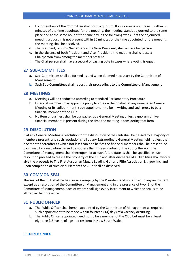- c. Four members of the Committee shall form a quorum. If a quorum is not present within 30 minutes of the time appointed for the meeting, the meeting stands adjourned to the same place and at the same hour of the same day in the following week. If at the adjourned meeting a quorum is not present within 30 minutes of the time appointed for the meeting, the meeting shall be dissolved.
- d. The President, or in his/her absence the Vice- President, shall act as Chairperson.
- e. In the absence of both President and Vice- President, the meeting shall choose a Chairperson from among the members present.
- f. The Chairperson shall have a second or casting vote in cases where voting is equal.

#### <span id="page-8-0"></span>**27 SUB-COMMITTEES**

- a. Sub-Committees shall be formed as and when deemed necessary by the Committee of Management
- **b.** Such Sub-Commi[t](#page-1-0)tees shall report their proceedings to the Committee of Management

#### <span id="page-8-1"></span>**28 MEETINGS**

- a. Meetings will be conducted according to standard Parliamentary Procedure
- b. Financial members may appoint a proxy to vote on their behalf at any nominated General Meeting or its, adjournment, such appointment to be in writing and such proxy to be a financial member of the Club
- c. No item of business shall be transacted at a General Meeting unless a quorum of five financial members is present during the time the meeting is considering that item

#### <span id="page-8-2"></span>**29 DISSOLUTION**

If at any General Meeting a resolution for the dissolution of the Club shall be passed by a majority of members present, and such resolution shall at any Extraordinary General Meeting held not less than one month thereafter at which not less than one half of the financial members shall be present, be confirmed by a resolution passed by not less than three-quarters of the voting thereon, the Committee of Management shall thereupon, or at such future date as shall be specified in such resolution proceed to realise the property of the Club and after discharge of all liabilities shall wholly give the proceeds to The First Australian Muzzle Loading Gun and Rifle Association Lithgow Inc. and upon completion of such disbursement the Club shall be dissolved.

#### <span id="page-8-3"></span>**30 COMMON SEAL**

The seal of the Club shall be held in safe-keeping by the President and not affixed to any instrument except as a resolution of the Committee of Management and in the presence of two (2) of the Committee of Management, each of whom shall sign every instrument to which the seal is to be affixed in their presence

#### <span id="page-8-4"></span>**31 PUBLIC OFFICER**

- a. The Public Officer shall he/she appointed by the Committee of Management as required, such appointment to be made within fourteen (14) days of a vacancy occurring.
- b. The Public Officer appointed need not to be a member of the Club but must be at least eighteen (18) years of age and resident in New South Wales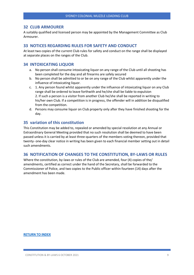#### <span id="page-9-0"></span>**32 CLUB ARMOURER**

A suitably qualified and licensed person may be appointed by the Management Committee as Club Armourer.

#### <span id="page-9-1"></span>**33 NOTICES REGARDING RULES FOR SAFETY AND CONDUCT**

At least two copies of the current Club rules for safety and conduct on the range shall be displayed at separate places on the ranges of the Club.

#### <span id="page-9-2"></span>**34 INTOXICATING LIQUOR**

- a. No person shall consume intoxicating liquor on any range of the Club until all shooting has been completed for the day and all firearms are safely secured
- b. No person shall be admitted to or be on any range of the Club whilst apparently under the influence of intoxicating liquor.
- c. 1. Any person found whilst apparently under the influence of intoxicating liquor on any Club range shall be ordered to leave forthwith and he/she shall be liable to expulsion 2. If such a person is a visitor from another Club he/she shall be reported in writing to his/her own Club. If a competition is in progress, the offender will in addition be disqualified from the competition.
- d. Persons may consume liquor on Club property only after they have finished shooting for the day.

#### <span id="page-9-3"></span>**35 variation of this constitution**

This Constitution may be added to, repealed or amended by special resolution at any Annual or Extraordinary General Meeting provided that no such resolution shall be deemed to have been passed unless it is carried by at least three-quarters of the members voting thereon, provided that twenty- one-day clear notice in writing has been given to each financial member setting out in detail such amendments.

#### <span id="page-9-4"></span>**36 NOTIFICATION OF CHANGES TO THE CONSTITUTION, BY-LAWS OR RULES**

Where the constitution, by-laws or rules of the Club are amended, four (4) copies of the/ amendments, certified as correct under the hand of the Secretary, shall be forwarded to the Commissioner of Police, and two copies to the Public officer within fourteen (14) days after the amendment has been made.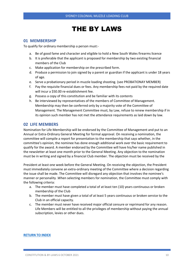### THE BY LAWS

#### <span id="page-10-1"></span><span id="page-10-0"></span>**01 MEMBERSHIP**

To qualify for ordinary membership a person must:-

- a. Be of good fame and character and eligible to hold a New South Wales firearms licence
- b. It is preferable that the applicant is proposed for membership by two existing financial members of the Club
- c. Make application for membership on the prescribed form.
- d. Produce a permission to join signed by a parent or guardian if the applicant is under 18 years of age.
- e. Serve a probationary period in muzzle loading shooting. (see PROBATIONAY MEMBER)
- f. Pay the requisite financial dues or fees. Any membership fees not paid by the required date will incur a \$50.00 re-establishment fee.
- g. Possess a copy of this constitution and be familiar with its contents
- h. Be interviewed by representatives of the members of Committee of Management. Membership may then be conferred only by a majority vote of the Committee of Management. The Management Committee must, by Law, refuse to renew membership if in its opinion such member has not met the attendance requirements as laid down by law.

#### <span id="page-10-2"></span>**02 LIFE MEMBERS**

Nomination for Life Membership will be endorsed by the Committee of Management and put to an Annual or Extra-Ordinary General Meeting for formal approval. On receiving a nomination, the committee will compile a report for presentation to the membership that says whether, in the committee's opinion, the nominee has done enough additional work over the basic requirement to qualify for the award. A member endorsed by the Committee will have his/her name published in the newsletter at least one month prior to the General Meeting. Any objection to the nomination must be in writing and signed by a financial Club member. The objection must be received by the

President at least one week before the General Meeting. On receiving the objection, the President must immediately convene an extra-ordinary meeting of the Committee where a decision regarding the issue shall be made. The Committee will disregard any objection that involves the nominee's manner or personality .When selecting members for nomination, the Committee must comply with the following criteria:

- a. The member must have completed a total of at least ten (10) years continuous or broken membership of the Club
- b. The member must have given a total of at least 5 years continuous or broken service to the Club in an official capacity.
- c. The member must never have received major official censure or reprimand for any reason. Life Members will be entitled to all the privileges of membership without paying the annual subscription, levies or other dues.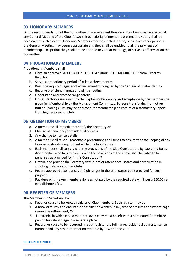#### <span id="page-11-0"></span>**03 HONORARY MEMBERS**

On the recommendation of the Committee of Management Honorary Members may be elected at any General Meeting of the Club. A two-thirds majority of members present and voting shall be necessary at such election. Honorary Members may be elected for life, or for such other period as the General Meeting may deem appropriate and they shall be entitled to all the privileges of membership, except that they shall not be entitled to vote at meetings, or serve as officers or on the Committee.

#### <span id="page-11-1"></span>**04 PROBATIONARY MEMBERS**

Probationary Members shall:

- a. Have an approved 'APPLICATION FOR TEMPORARY CLUB MEMBERSHIP' from Firearms Registry.
- b. Serve ·a probationary period of at least three months
- c. Keep the required register of achievement duly signed by the Captain of his/her deputy
- d. Become proficient in muzzle-loading shooting
- e. Understand and practice range safety
- f. On satisfactory assessment by the Captain or his deputy and acceptance by the members be given full Membership by the Management Committee. Persons transferring from other muzzle-loading clubs may be approved for membership on receipt of a satisfactory report from his/her previous club

#### <span id="page-11-2"></span>**05 OBLIGATION OF MEMBERS**

- a. A member shall immediately notify the Secretary of:
- 1. Change of name and/or residential address
- 2. Any change to licence details
- b. A member shall take all reasonable precautions at all times to ensure the safe keeping of any firearm or shooting equipment while on Club Premises
- c. Each member shall comply with the provisions of the Club Constitution, By-Laws and Rules. Any member who fails to comply with the provisions of the above shall be liable to be penalised as provided for in this Constitution7
- d. Obtain, and provide the Secretary with proof of attendance, scores and participation in shooting matches at other Clubs
- e. Record approved attendances at Club ranges in the attendance book provided for such purpose.
- f. Pay dues on time Any membership fees not paid by the required date will incur a \$50.00 reestablishment fee.

#### <span id="page-11-3"></span>**06 REGISTER OF MEMBERS**

The Membership Secretary Shall:

- a. Keep, or cause to be kept, a register of Club members. Such register may be:
- 1. A book of sturdy and endurable construction written in ink, free of erasures and where page removal is self-evident, Or
- 2. Electronic, in which case a monthly saved copy must be left with a nominated Committee person for safe storage in a separate place.
- b. Record, or cause to be recorded, in such register the full name, residential address, licence number and any other information required by Law and the Club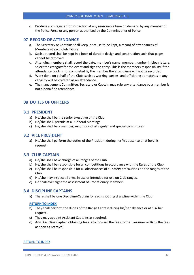c. Produce such register for inspection at any reasonable time on demand by any member of the Police Force or any person authorised by the Commissioner of Police

#### <span id="page-12-0"></span>**07 RECORD OF ATTENDANCE**

- a. The Secretary or Captains shall keep, or cause to be kept, a record of attendances of Members at each Club fixture
- b. Such a record shall be kept in a book of durable design and construction such that pages cannot be removed
- c. Attending members shall record the date, member's name, member number in block letters, select the category for the event and sign the entry. This is the members responsibility if the attendance book is not completed by the member the attendance will not be recorded.
- d. Work done on behalf of the Club, such as working parties, and officiating at matches in any capacity will be credited as an attendance.
- e. The management Committee, Secretary or Captain may rule any attendance by a member is not a bona fide attendance

#### <span id="page-12-1"></span>**08 DUTIES OF OFFICERS**

#### <span id="page-12-2"></span>**8.1 PRESIDENT**

- a) He/she shall be the senior executive of the Club
- b) He/she shall. preside at all General Meetings
- <span id="page-12-3"></span>c) He/she shall be a member, ex-officio, of all regular and special committees

#### **8.2 VICE PRESIDENT**

a) He/she shall perform the duties of the President during her/his absence or at her/his request.

#### <span id="page-12-4"></span>**8.3 CLUB CAPTAIN**

- a) He/she shall have charge of all ranges of the Club
- b) He/she shall be responsible for all competitions in accordance with the Rules of the Club.
- c) He/she shall be responsible for all observances of all safety precautions on the ranges of the Club.
- d) He/she may inspect all arms in use or intended for use on Club ranges.
- <span id="page-12-5"></span>e) He shall over sight the assessment of Probationary Members.

#### **8.4 DISCIPLINE CAPTAINS**

a) There shall be one Discipline-Captain for each shooting discipline within the Club.

#### **[RETURN TO INDEX](#page-1-0)**

- b) They shall perform the duties of the Range Captain during his/her absence or at his/ her request.
- c) They may appoint Assistant Captains as required.
- d) Any Discipline Captain obtaining fees is to forward the fees to the Treasurer or Bank the fees as soon as practical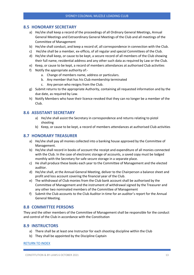#### **8.5 HONORARY SECRETARY**

- <span id="page-13-0"></span>a) He/she shall keep a record of the proceedings of all Ordinary General Meetings, Annual General Meetings and Extraordinary General Meetings of the Club and all meetings of the Committee of Management
- b) He/she shall conduct, and keep a record of, all correspondence in connection with the Club.
- c) He/she shall be a member, ex-officio, of all regular and special Committees of the Club.
- d) He/she shall keep, or cause to be kept, a secure record of all members of the Club showing their full name, residential address and any other such data as required by Law or the Club.
- e) Keep, or cause to be kept, a record of members attendances at authorised Club activities
- f) Notify the appropriate authority of:
	- a. Change of members name, address or particulars.
	- b. Any member that has his Club membership terminated
	- c. Any person who resigns from the Club.
- g) Submit returns to the appropriate Authority, containing all requested information and by the due date, as required by Law.
- h) Notify Members who have their licence revoked that they can no longer be a member of the Club.

#### <span id="page-13-1"></span>**8.6 ASSISTANT SECRETARY**

- a) He/she shall assist the Secretary in correspondence and returns relating to pistol shooting
- <span id="page-13-2"></span>b) Keep, or cause to be kept, a record of members attendances at authorised Club activities

#### **8.7 HONORARY TREASURER**

- a) He/she shall pay all monies collected into a banking house approved by the Committee of Management.
- b) He/she shall record in books of account the receipt and expenditure of all monies connected with the Club. In the case of electronic storage of accounts, a saved copy must be lodged monthly with the Secretary for safe secure storage in a separate place.
- c) He shall produce these books each year to the Committee of Management and the elected auditor.
- d) He/she shall, at the Annual General Meeting, deliver to the Chairperson a balance sheet and profit and loss account covering the financial year of the Club.
- e) The withdrawal of Club monies from the Club bank account shall be authorised by the Committee of Management and the instrument of withdrawal signed by the Treasurer and any other two nominated members of the Committee of Management
- <span id="page-13-3"></span>f) Submit the Club accounts to the Club Auditor in time for an auditor's report for the Annual General Meeting.

#### **8.8 COMMITTEE PERSONS**

They and the other members of the Committee of Management shall be responsible for the conduct and control of the Club in accordance with the Constitutio[n](#page-1-0)

#### <span id="page-13-4"></span>**8.9 INSTRUCTORS**

- a) There shall be at least one Instructor for each shooting discipline within the Club
- b) They shall be appointed by the Discipline Captain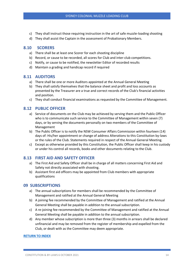- c) They shall instruct those requiring instruction in the art of safe muzzle-loading shooting
- <span id="page-14-0"></span>d) They shall assist the Captain in the assessment of Probationary Members.

#### **8.10 SCORERS**

- a) There shall be at least one Scorer for each shooting discipline
- b) Record, or cause to be recorded, all scores for Club and inter-club competitions.
- c) Notify, or cause to be notified, the newsletter Editor of recorded results
- d) Maintain a grading and handicap record if required

#### <span id="page-14-1"></span>**8.11 AUDITORS**

- a) There shall be one or more Auditors appointed at the Annual General Meeting
- b) They shall satisfy themselves that the balance sheet and profit and loss accounts as presented by the Treasurer are a true and correct records of the Club's financial activities and position.
- c) They shall conduct financial examinations as requested by the Committee of Management.

#### <span id="page-14-2"></span>**8.12 PUBLIC OFFICER**

- a) Service of documents on the Club may be achieved by serving them and the Public Officer who is to communicate such service to the Committee of Management within seven (7) days, or by serving the documents personally on two members of the Committee of Management
- b) The Public Officer is to notify the NSW Consumer Affairs Commission within fourteen (14) days of: His/her appointment or change of address Alterations to this Constitution by-laws or the rules of the Club. Statements required in respect of the Annual General Meeting.
- c) Except as otherwise provided by this Constitution, the Public Officer shall keep in his custody or under his control all records, books and other documents relating to the Club.

#### <span id="page-14-3"></span>**8.13 FIRST AID AND SAFETY OFFICER**

- a) The First Aid and Safety Officer shall be in charge of all matters concerning First Aid and Safety not directly associated with shooting.
- b) Assistant first aid officers may be appointed from Club members with appropriate qualifications

#### <span id="page-14-4"></span>**09 SUBSCRIPTIONS**

- a) The annual subscriptions for members shall be recommended by the Committee of Management and ratified at the Annual General Meeting
- b) A joining fee recommended by the Committee of Management and ratified at the Annual General Meeting shall be payable in addition to the annual subscription.
- c) A re-joining fee recommended by the Committee of Management and ratified at the Annual General Meeting shall be payable in addition to the annual subscription.
- d) Any member whose subscription is more than three (3) months in arrears shall be declared unfinancial and may be removed from the register of membership and expelled from the Club, or dealt with as the Committee may deem appropriate.